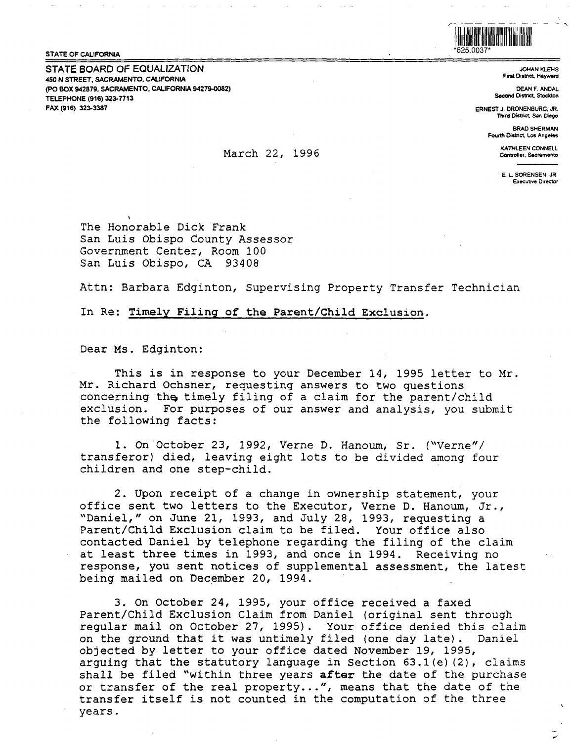

**STATE OF CALIFORNIA** 

**STATE BOARD OF EQUALIZATION 450 N STREET, SACRAMENTO, CALIFORNIA (PO BOX 942879, SACRAMENTO, CALIFORNIA 94279-0082) TELEPHONE (916) 323-7713**  FAX (916) 323-3387

March 22, 1996

JOHAN KLEHS First District, Hayward

DEAN F. ANDAL **Second District. Stockton** 

ERNEST J. DRONENBURG. JR. Third District, San Diego

> **BRAO** SHERMAN **Fourth District. Los Angeles**

> > KATHLEEN CONNELL Controller, Sacramento

E. L. SORENSEN. JR. **Executive Director** 

The Honorable Dick Frank San Luis Obispo County Assessor Government Center, Room 100 San Luis Obispo, CA 93408

Attn: Barbara Edginton, Supervising Property Transfer Technician

In Re: **Timely Filing of the Parent/Child Exclusion.** 

Dear Ms. Edginton:

This is in response to your December 14, 1995 letter to Mr. Mr. Richard Ochsner, requesting answers to two questions concerning the timely filing of a claim for the parent/child exclusion. For purposes of our answer and analysis, you submit the following facts:

1. On October 23, 1992, Verne D. Hanoum, Sr. ("Verne"/ transferor) died, leaving eight lots to be divided among four children and one step-child.

2. Upon receipt of a change in ownership statement, your office sent two letters to the Executor, Verne D. Hanoum, Jr., "Daniel," on June 21, 1993, and July 28, 1993, requesting a Parent/Child Exclusion claim to be filed. Your office also contacted Daniel by telephone regarding the filing of the claim at least three times in 1993, and once in 1994. Receiving no response, you sent notices of supplemental assessment, the latest being mailed on December 20, 1994.

3. On October 24, 1995, your office received a faxed Parent/Child Exclusion Claim from Daniel (original sent through regular mail on October 27, 1995). Your office denied this claim on the ground that it was untimely filed (one day late). Daniel objected by letter to your office dated November 19, 1995, arguing that the statutory language in Section 63.l{e) (2), claims shall be filed "within three years **after** the date of the purchase or transfer of the real property...", means that the date of the transfer itself is not counted in the computation of the three years.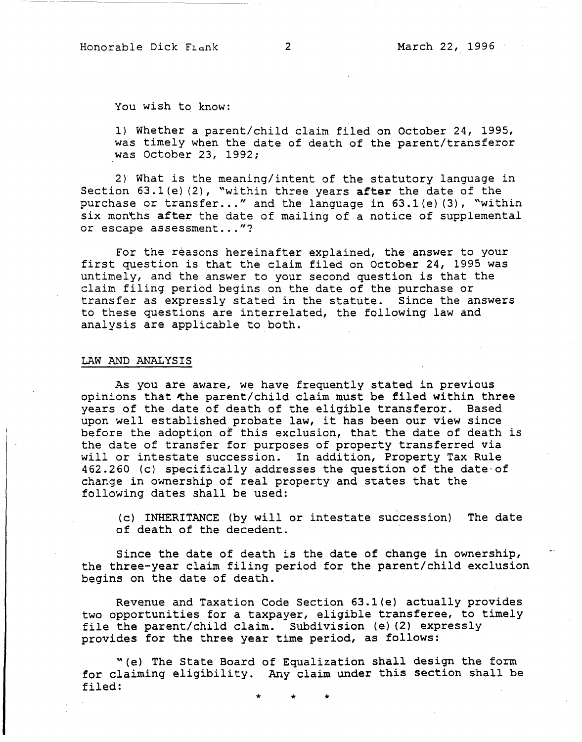You wish to know:

1) Whether a parent/child claim filed on October 24, 1995, was timely when the date of death of the parent/transferor was October 23, 1992;

2) What is the meaning/intent of the statutory language in Section 63.l(e) (2), "within three years **after** the date of the purchase or transfer..." and the language in 63.1(e)(3), "within six months after the date of mailing of a notice of supplemental or escape assessment..."?

For the reasons hereinafter explained, the answer to your first question is that the claim filed on October 24, 1995 was untimely, and the answer to your second question is that the claim filing period begins on the date of the purchase or transfer as expressly stated in the statute. Since the answers to these questions are interrelated, the following law and analysis are applicable to both.

## LAW AND ANALYSIS

As you are aware, we have frequently stated in previous opinions that the parent/child claim must be filed within three years of the date of death of the eligible transferor. Based upon well established probate law, it has been our view since before the adoption of this exclusion, that the date of death is the date of transfer for purposes of property transferred via will or intestate succession. In addition, Property Tax Rule 462.260 (c) specifically addresses the question of the date·of change in ownership of real property and states that the following dates shall be used:

(c) INHERITANCE (by will or intestate succession) The date of death of the decedent.

Since the date of death is the date of change in ownership, the three-year claim filing period for the parent/child exclusion begins on the date of death.

Revenue and Taxation Code Section 63.l(e) actually provides two opportunities for a taxpayer, eligible transferee, to timely file the parent/child claim. Subdivision (e) {2) expressly provides for the three year time period, as follows:

"(el The State Board of Equalization shall design the form for claiming eligibility. Any claim under this section shall be filed:

\* \* \*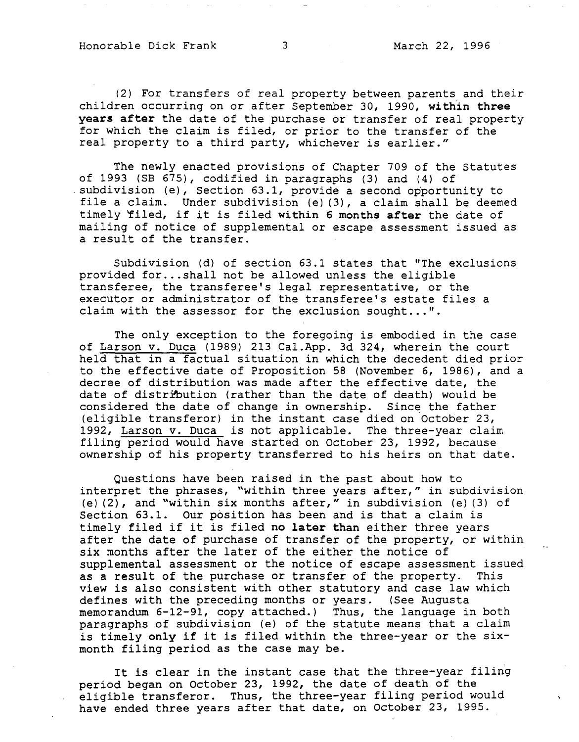Honorable Dick Frank 3 March 22, 1996

(2) For transfers of real property between parents and their children occurring on or after September 30, 1990, **within three years after** the date of the purchase or transfer of real property for which the claim is filed, or prior to the transfer of the real property to a third party, whichever is earlier."

The newly enacted provisions of Chapter 709 of the Statutes of 1993 (SB 675), codified in paragraphs (3) and (4) of . subdivision (e), Section 63.1, provide a second opportunity to file a claim. Under subdivision (e) (3), a claim shall be deemed timely filed, if it is filed within 6 months after the date of mailing of notice of supplemental or escape assessment issued as a result of the transfer.

Subdivision (d) of section 63.1 states that "The exclusions provided for ... shall not be allowed unless the eligible transferee, the transferee's legal representative, or the executor or administrator of the transferee's estate files a claim with the assessor for the exclusion sought...".

The only exception to the foregoing is embodied in the case of Larson v. Duca (1989) 213 Cal.App. 3d *324;* wherein the court held that in a factual situation in which the decedent died prior to the effective date of Proposition 58 (November 6, 1986), and a decree of distribution was made after the effective date, the date of distri'bution (rather than the date of death) would be considered the date of change in ownership. Since the father (eligible transferor) in the instant case died on October 23, 1992, Larson v. Duca is not applicable. The three-year claim filing period would have started on October 23, 1992, because ownership of his property transferred to his heirs on that date.

Questions have been raised in the past about how to interpret the phrases, "within three years after," in subdivision (e) (2), and "within six months after," in subdivision (e) (3) of Section 63.1. Our position has been and is that a claim is timely filed if it is filed **no later than** either three years after the date of purchase of transfer of the property, or within six months after the later of the either the notice of supplemental assessment or the notice of escape assessment issued as a result of the purchase or transfer of the property. This view is also consistent with other statutory and case law which defines with the preceding months or years. (See Augusta memorandum 6-12-91, copy attached.) Thus, the language in both paragraphs of subdivision (e) of the statute means that a claim is timely **only** if it is filed within the three-year or the sixmonth filing period as the case may be.

It is clear in the instant case that the three-year filing period began on October 23, 1992, the date of death of the eligible transferor. Thus, the three-year filing period would have ended three years after that date, on October 23, 1995.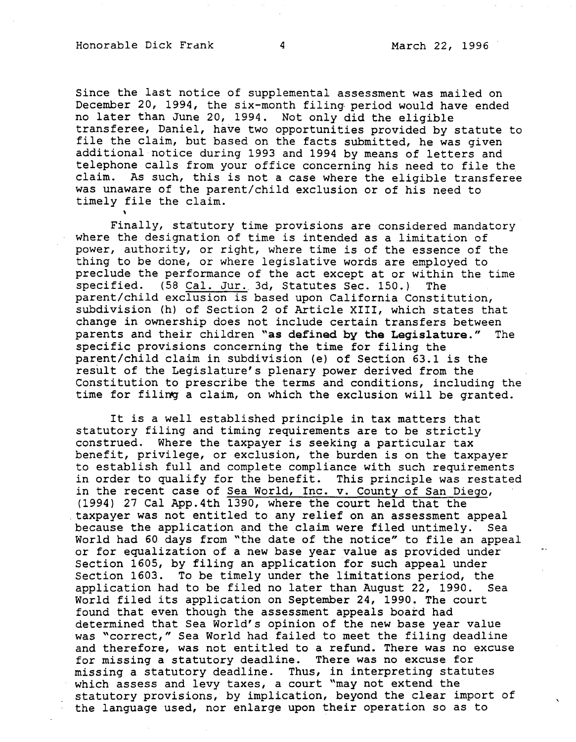Since the last notice of supplemental assessment was mailed on December 20, 1994, the six-month filing period would have ended no later than June 20, 1994. Not only did the eligible transferee, Daniel, have two opportunities provided by statute to file the claim, but based on the facts submitted, he was given additional notice during 1993 and 1994 by means of letters and telephone calls from your office concerning his need to file the claim. As such, this is not a case where the eligible transferee was unaware of the parent/child exclusion or of his need to timely file the claim.

Finally, statutory time provisions are considered mandatory where the designation of time is intended as a limitation of power, authority, or right, where time is of the essence of the thing to be done, or where legislative words are employed to preclude the performance of the act except at or within the time<br>specified. (58 Cal. Jur. 3d, Statutes Sec. 150.) The (58 Cal. Jur. 3d, Statutes Sec. 150.) The parent/child exclusion is based upon California Constitution, subdivision (h) of Section 2 of Article **XIII,** which states that change in ownership does not include certain transfers between parents and their children **"as defined by the Legislature."** The specific provisions concerning the time for filing the parent/child claim in subdivision (e) of Section 63.1 is the result of the Legislature's plenary power derived from the Constitution to prescribe the terms and conditions, including the time for filing a claim, on which the exclusion will be granted.

It is a well established principle in tax matters that statutory filing and timing requirements are to be strictly construed. Where the taxpayer is seeking a particular tax benefit, privilege, or exclusion, the burden is on the taxpayer to establish full and complete compliance with such requirements in order to qualify for the benefit. This principle was restated in the recent case of Sea World, Inc. v. County of San Diego, (1994) 27 Cal App. 4th 1390, where the court held that the taxpayer was not entitled to any relief on an assessment appeal because the application and the claim were filed untimely. Sea World had 60 days from "the date of the notice" to file an appeal or for equalization of a new base year value as provided under Section 1605, by filing an application for such appeal under Section 1603. To be timely under the limitations period, the application had to be filed no later than August 22, 1990. Sea World filed its application on September 24, 1990. The court found that even though the assessment appeals board had determined that Sea World's opinion of the new base year value was "correct," Sea World had failed to meet the filing deadline and therefore, was not entitled to a refund. There was no excuse for missing a statutory deadline. There was no excuse for missing a statutory deadline. Thus, in interpreting statutes which assess and levy taxes, a court "may not extend the statutory provisions, by implication, beyond the clear import of the language used, nor enlarge upon their operation so as to